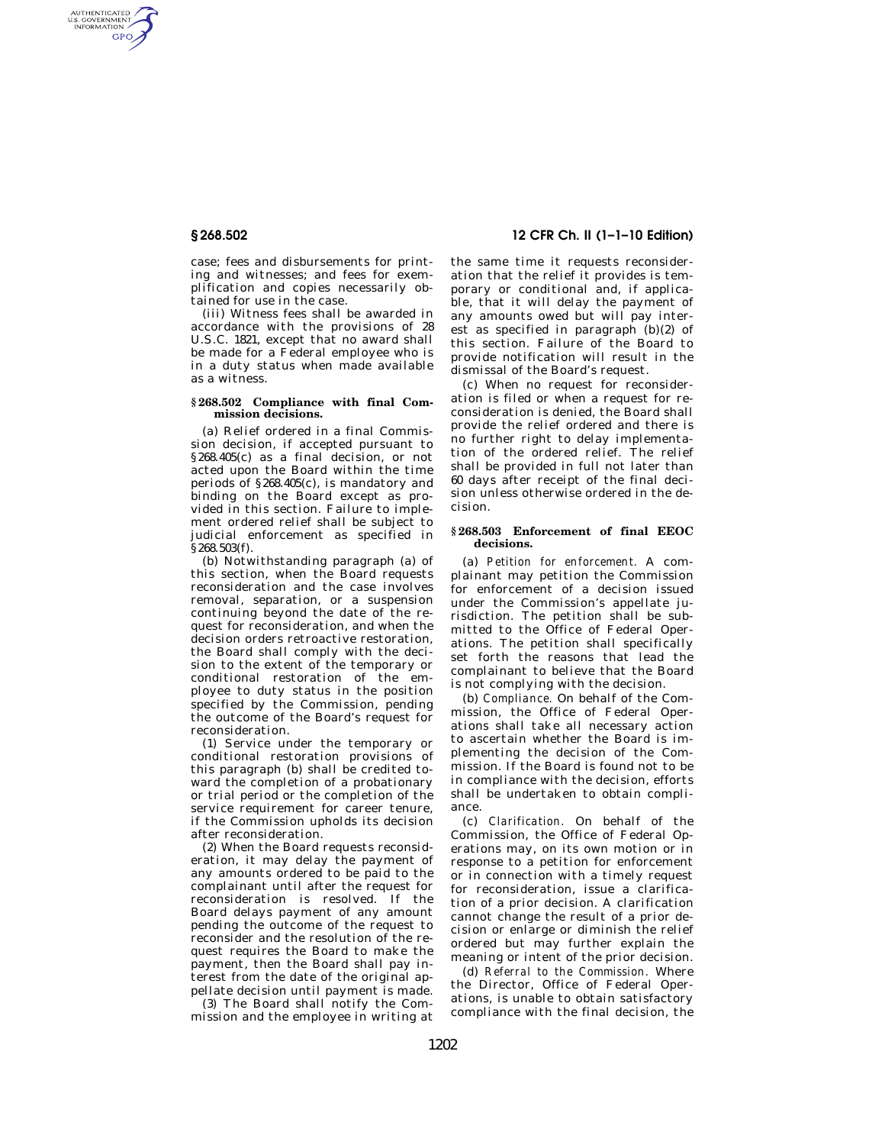AUTHENTICATED<br>U.S. GOVERNMENT<br>INFORMATION GPO

> case; fees and disbursements for printing and witnesses; and fees for exemplification and copies necessarily obtained for use in the case.

> (iii) Witness fees shall be awarded in accordance with the provisions of 28 U.S.C. 1821, except that no award shall be made for a Federal employee who is in a duty status when made available as a witness.

#### **§ 268.502 Compliance with final Commission decisions.**

(a) Relief ordered in a final Commission decision, if accepted pursuant to §268.405(c) as a final decision, or not acted upon the Board within the time periods of §268.405(c), is mandatory and binding on the Board except as provided in this section. Failure to implement ordered relief shall be subject to judicial enforcement as specified in §268.503(f).

(b) Notwithstanding paragraph (a) of this section, when the Board requests reconsideration and the case involves removal, separation, or a suspension continuing beyond the date of the request for reconsideration, and when the decision orders retroactive restoration, the Board shall comply with the decision to the extent of the temporary or conditional restoration of the employee to duty status in the position specified by the Commission, pending the outcome of the Board's request for reconsideration.

(1) Service under the temporary or conditional restoration provisions of this paragraph (b) shall be credited toward the completion of a probationary or trial period or the completion of the service requirement for career tenure, if the Commission upholds its decision after reconsideration.

(2) When the Board requests reconsideration, it may delay the payment of any amounts ordered to be paid to the complainant until after the request for reconsideration is resolved. If the Board delays payment of any amount pending the outcome of the request to reconsider and the resolution of the request requires the Board to make the payment, then the Board shall pay interest from the date of the original appellate decision until payment is made.

(3) The Board shall notify the Commission and the employee in writing at

# **§ 268.502 12 CFR Ch. II (1–1–10 Edition)**

the same time it requests reconsideration that the relief it provides is temporary or conditional and, if applicable, that it will delay the payment of any amounts owed but will pay interest as specified in paragraph (b)(2) of this section. Failure of the Board to provide notification will result in the dismissal of the Board's request.

(c) When no request for reconsideration is filed or when a request for reconsideration is denied, the Board shall provide the relief ordered and there is no further right to delay implementation of the ordered relief. The relief shall be provided in full not later than 60 days after receipt of the final decision unless otherwise ordered in the decision.

# **§ 268.503 Enforcement of final EEOC decisions.**

(a) *Petition for enforcement.* A complainant may petition the Commission for enforcement of a decision issued under the Commission's appellate jurisdiction. The petition shall be submitted to the Office of Federal Operations. The petition shall specifically set forth the reasons that lead the complainant to believe that the Board is not complying with the decision.

(b) *Compliance.* On behalf of the Commission, the Office of Federal Operations shall take all necessary action to ascertain whether the Board is implementing the decision of the Commission. If the Board is found not to be in compliance with the decision, efforts shall be undertaken to obtain compliance.

(c) *Clarification.* On behalf of the Commission, the Office of Federal Operations may, on its own motion or in response to a petition for enforcement or in connection with a timely request for reconsideration, issue a clarification of a prior decision. A clarification cannot change the result of a prior decision or enlarge or diminish the relief ordered but may further explain the meaning or intent of the prior decision.

(d) *Referral to the Commission.* Where the Director, Office of Federal Operations, is unable to obtain satisfactory compliance with the final decision, the